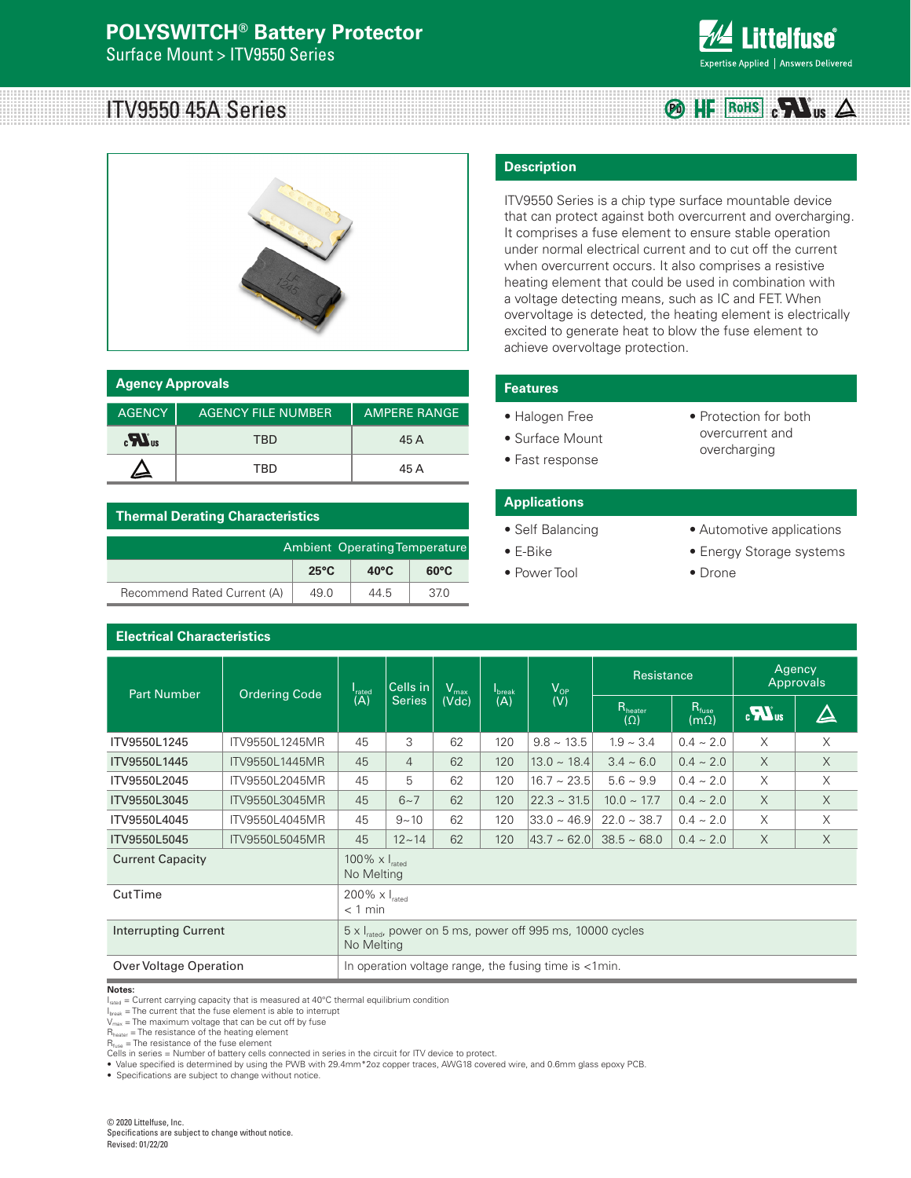## **POLYSWITCH® Battery Protector**

Surface Mount > ITV9550 Series



#### ITV9550 45A Series **OD HE ROHS CALUS A**



## **Agency Approvals**

| <b>AGENCY</b>              | <b>AGENCY FILE NUMBER</b> | <b>AMPERE RANGE</b> |
|----------------------------|---------------------------|---------------------|
| $\mathbf{H}$ <sub>18</sub> | TRD                       | 45A                 |
|                            | TRD                       | 45 A                |

## **Thermal Derating Characteristics**

| Ambient Operating Temperature |                |                |                |
|-------------------------------|----------------|----------------|----------------|
|                               | $25^{\circ}$ C | $40^{\circ}$ C | $60^{\circ}$ C |
| Recommend Rated Current (A)   | 49 Q           | 44.5           | 37.0           |

## **Description**

ITV9550 Series is a chip type surface mountable device that can protect against both overcurrent and overcharging. It comprises a fuse element to ensure stable operation under normal electrical current and to cut off the current when overcurrent occurs. It also comprises a resistive heating element that could be used in combination with a voltage detecting means, such as IC and FET. When overvoltage is detected, the heating element is electrically excited to generate heat to blow the fuse element to achieve overvoltage protection.

## **Features**

- Halogen Free
- Surface Mount
- 
- Protection for both overcurrent and overcharging
- Fast response

#### **Applications**

- Self Balancing
- E-Bike
- Power Tool
- Automotive applications
- Energy Storage systems
- Drone

| <b>Electrical Characteristics</b> |                      |                                                                                         |                           |                           |                           |                    |                            |                                  |                     |          |
|-----------------------------------|----------------------|-----------------------------------------------------------------------------------------|---------------------------|---------------------------|---------------------------|--------------------|----------------------------|----------------------------------|---------------------|----------|
| <b>Part Number</b>                | <b>Ordering Code</b> | l <sub>rated</sub><br>(A)                                                               | Cells in<br><b>Series</b> | $V_{\text{max}}$<br>(Vdc) | $I_{\text{break}}$<br>(A) | $V_{OP}$<br>(V)    | Resistance                 |                                  | Agency<br>Approvals |          |
|                                   |                      |                                                                                         |                           |                           |                           |                    | $R_{heater}$<br>$(\Omega)$ | $R_{\text{fuse}}$<br>$(m\Omega)$ | $\boldsymbol{u}$    | $\Delta$ |
| ITV9550L1245                      | ITV9550L1245MR       | 45                                                                                      | 3                         | 62                        | 120                       | $9.8 \sim 13.5$    | $1.9 \sim 3.4$             | $0.4 \sim 2.0$                   | X                   | X        |
| ITV9550L1445                      | ITV9550L1445MR       | 45                                                                                      | 4                         | 62                        | 120                       | $13.0 \sim 18.4$   | $3.4 \sim 6.0$             | $0.4 \sim 2.0$                   | $\times$            | $\times$ |
| ITV9550L2045                      | ITV9550L2045MR       | 45                                                                                      | 5                         | 62                        | 120                       | $16.7 \sim 23.5$   | $5.6 \sim 9.9$             | $0.4 \sim 2.0$                   | X                   | X        |
| ITV9550L3045                      | ITV9550L3045MR       | 45                                                                                      | $6 - 7$                   | 62                        | 120                       | $22.3 \sim 31.5$   | $10.0 \sim 17.7$           | $0.4 \sim 2.0$                   | $\times$            | $\times$ |
| ITV9550L4045                      | ITV9550L4045MR       | 45                                                                                      | $9 - 10$                  | 62                        | 120                       | $ 33.0 \sim 46.9 $ | $22.0 \sim 38.7$           | $0.4 \sim 2.0$                   | X                   | X        |
| ITV9550L5045                      | ITV9550L5045MR       | 45                                                                                      | $12 - 14$                 | 62                        | 120                       | $ 43.7 \sim 62.0 $ | $38.5 - 68.0$              | $0.4 \sim 2.0$                   | $\times$            | $\times$ |
| <b>Current Capacity</b>           |                      | 100% $\times$ $\vert_{\text{rated}}$<br>No Melting                                      |                           |                           |                           |                    |                            |                                  |                     |          |
| <b>CutTime</b>                    |                      | 200% $\times$ $I_{\text{rated}}$<br>$<$ 1 min                                           |                           |                           |                           |                    |                            |                                  |                     |          |
| <b>Interrupting Current</b>       |                      | $5 \times I_{\text{rad}}$ , power on 5 ms, power off 995 ms, 10000 cycles<br>No Melting |                           |                           |                           |                    |                            |                                  |                     |          |
| Over Voltage Operation            |                      | In operation voltage range, the fusing time is $\lt 1$ min.                             |                           |                           |                           |                    |                            |                                  |                     |          |

#### **Notes:**

 $I<sub>rated</sub> = Current carrying capacity that is measured at 40°C thermal equilibrium condition$ 

I<sub>break</sub> = The current that the fuse element is able to interrupt

 $V_{\text{max}}$  = The maximum voltage that can be cut off by fuse

R<sub>heater</sub> = The resistance of the heating element<br>R<sub>fuse</sub> = The resistance of the fuse element

Cells in series = Number of battery cells connected in series in the circuit for ITV device to protect.<br>● Value specified is determined by using the PWB with 29.4mm\*2oz copper traces, AWG18 covered wire, and 0.6mm glass e

• Specifications are subject to change without notice.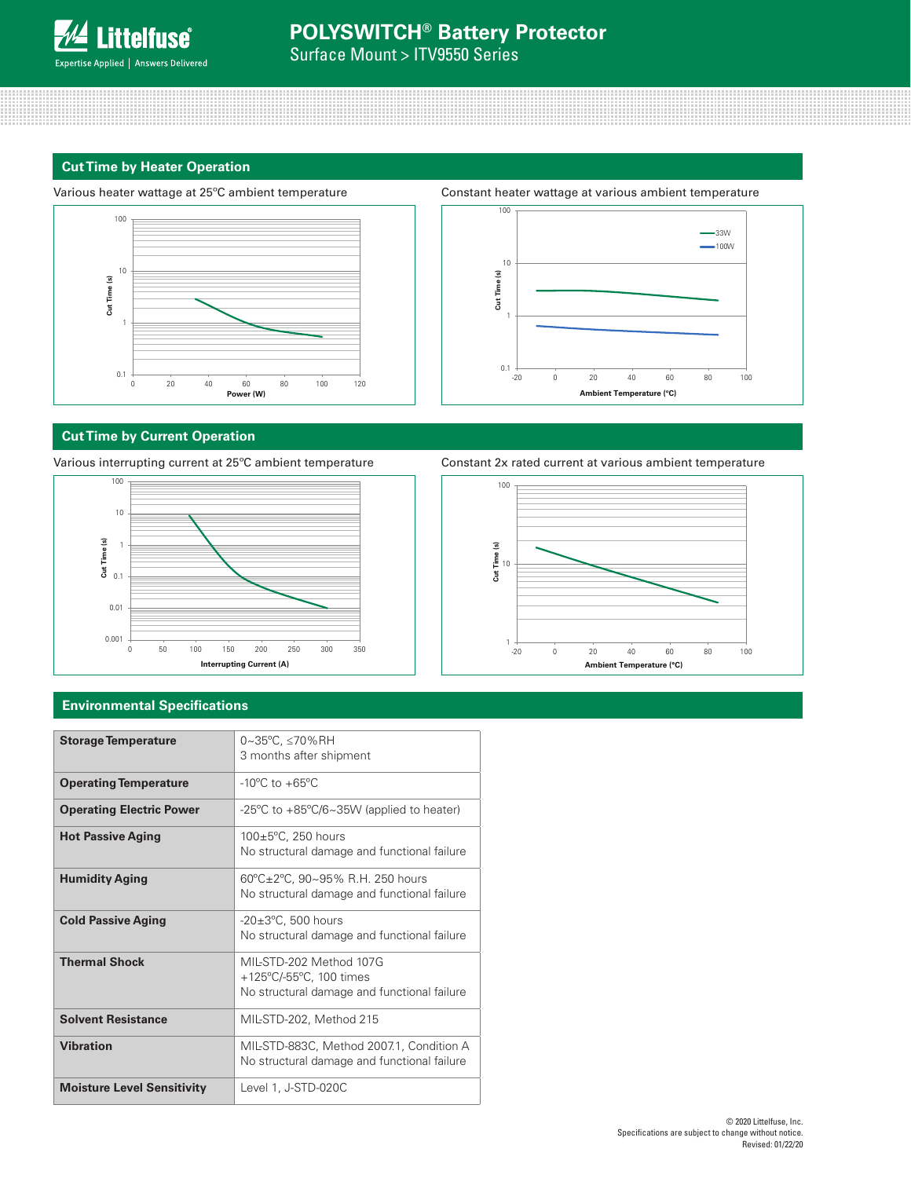

## **Cut Time by Heater Operation**





## **Cut Time by Current Operation**

Various interrupting current at 25ºC ambient temperature



## Constant 2x rated current at various ambient temperature

0.1

1

Cut Time (s)  $\frac{1}{10}$ 

**Cut Time (s)**

 $\overline{100}$ 



-20 0 20 40 60 80 100

33W  $-100W$ 

**Ambient Temperature (ºC)**

## **Environmental Specifications**

| <b>Storage Temperature</b>        | 0~35°C, ≤70%RH<br>3 months after shipment                                                         |
|-----------------------------------|---------------------------------------------------------------------------------------------------|
|                                   |                                                                                                   |
| <b>Operating Temperature</b>      | $-10^{\circ}$ C to $+65^{\circ}$ C                                                                |
| <b>Operating Electric Power</b>   | -25 $\degree$ C to +85 $\degree$ C/6~35W (applied to heater)                                      |
| <b>Hot Passive Aging</b>          | $100 \pm 5^{\circ}$ C, 250 hours<br>No structural damage and functional failure                   |
| <b>Humidity Aging</b>             | 60°C±2°C, 90~95% R.H. 250 hours<br>No structural damage and functional failure                    |
| <b>Cold Passive Aging</b>         | $-20\pm3$ °C, 500 hours<br>No structural damage and functional failure                            |
| <b>Thermal Shock</b>              | MIL-STD-202 Method 107G<br>+125°C/-55°C, 100 times<br>No structural damage and functional failure |
| <b>Solvent Resistance</b>         | MIL-STD-202, Method 215                                                                           |
| <b>Vibration</b>                  | MIL-STD-883C, Method 2007.1, Condition A<br>No structural damage and functional failure           |
| <b>Moisture Level Sensitivity</b> | Level 1, J-STD-020C                                                                               |

Constant heater wattage at various ambient temperature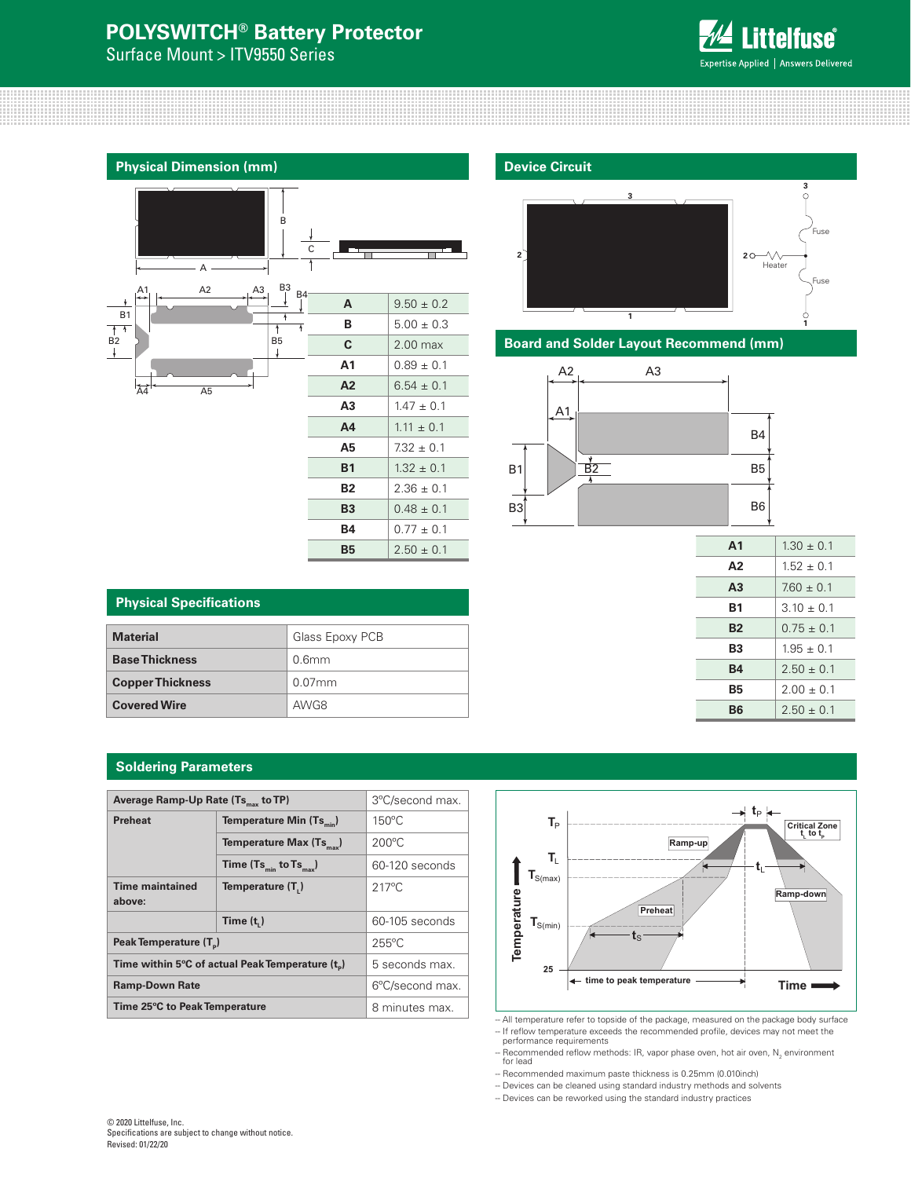## **POLYSWITCH® Battery Protector**

Surface Mount > ITV9550 Series



## **Physical Dimension (mm)**



# **A4**  $1.11 \pm 0.1$  $\overline{AB}$  | 7.32 ± 0.1 **B1**  $1.32 \pm 0.1$ **B2**  $\Big| 2.36 \pm 0.1 \Big|$

**B3**  $0.48 \pm 0.1$ **B4**  $0.77 \pm 0.1$ **B5**  $2.50 \pm 0.1$ 

## **Device Circuit**







| A <sub>1</sub> | $1.30 \pm 0.1$ |
|----------------|----------------|
| Δ2             | $152 + 01$     |
| A3             | $7.60 \pm 0.1$ |
| <b>B1</b>      | $310 + 01$     |
| <b>B2</b>      | $0.75 + 0.1$   |
| B3             | $1.95 \pm 0.1$ |
| <b>B4</b>      | $2.50 \pm 0.1$ |
| <b>B5</b>      | $200 + 01$     |
| R6             | $250 + 01$     |

## **Physical Specifications Material** Glass Epoxy PCB **Base Thickness Discussed Discussed Base Thickness Copper Thickness** 0.07mm

## **Soldering Parameters**

**Covered Wire AWG8** 

| Average Ramp-Up Rate (Ts <sub>nav</sub> to TP)               | 3°C/second max.                      |                 |  |  |
|--------------------------------------------------------------|--------------------------------------|-----------------|--|--|
| <b>Preheat</b>                                               | Temperature Min (Ts <sub>min</sub> ) | $150^{\circ}$ C |  |  |
|                                                              | Temperature Max (Ts <sub>max</sub> ) | $200^{\circ}$ C |  |  |
|                                                              | Time $(Ts_{min}$ to $Ts_{max}$ )     | 60-120 seconds  |  |  |
| <b>Time maintained</b><br>above:                             | Temperature (T <sub>.</sub> )        | $217^{\circ}$ C |  |  |
|                                                              | Time $(t, )$                         | 60-105 seconds  |  |  |
| Peak Temperature (T <sub>n</sub> )                           | $255^{\circ}$ C                      |                 |  |  |
| Time within 5°C of actual Peak Temperature (t <sub>a</sub> ) | 5 seconds max.                       |                 |  |  |
| <b>Ramp-Down Rate</b>                                        | 6°C/second max.                      |                 |  |  |
| Time 25°C to Peak Temperature                                | 8 minutes max.                       |                 |  |  |



-- All temperature refer to topside of the package, measured on the package body surface -- If reflow temperature exceeds the recommended profile, devices may not meet the performance requirements

– Recommended reflow methods: IR, vapor phase oven, hot air oven,  $\mathsf{N}_2$  environment

 for lead -- Recommended maximum paste thickness is 0.25mm (0.010inch)

-- Devices can be cleaned using standard industry methods and solvents

-- Devices can be reworked using the standard industry practices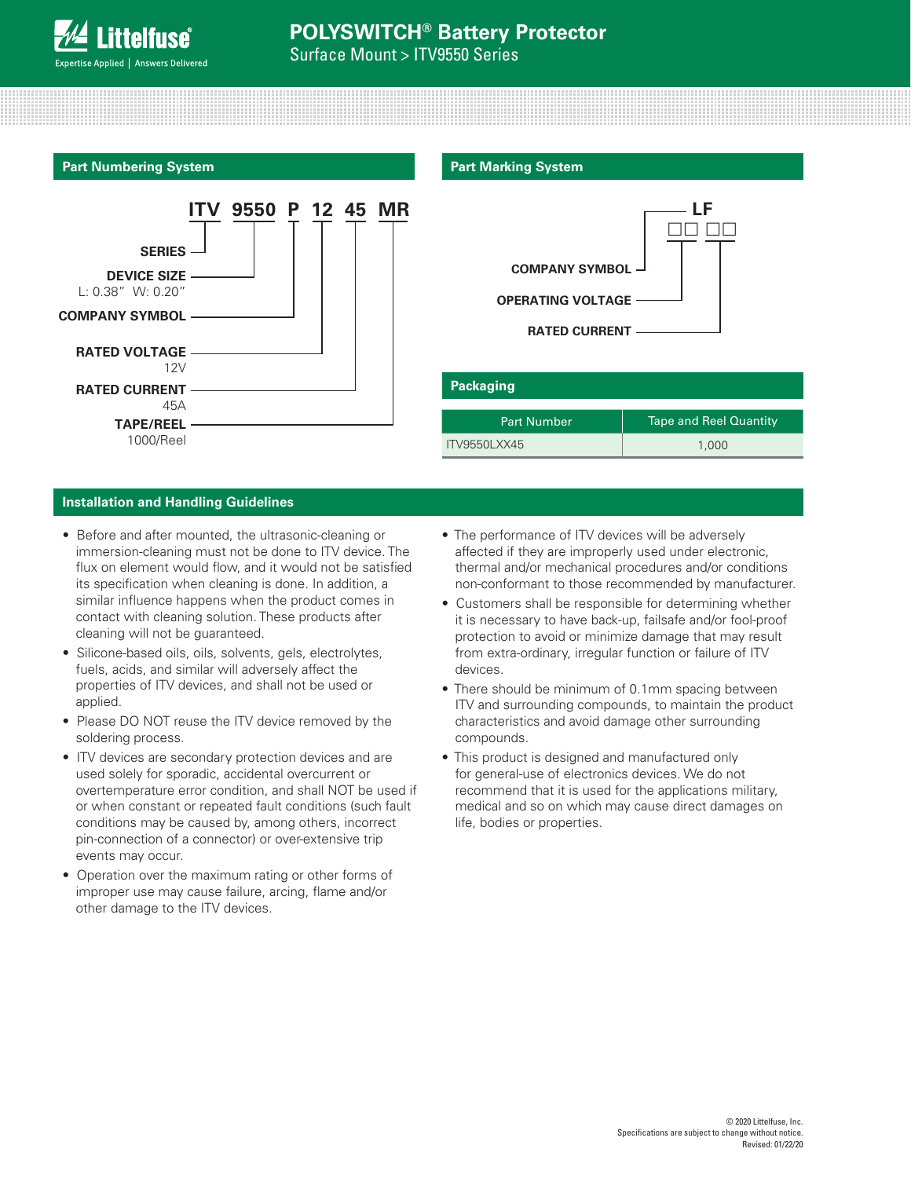

Surface Mount > ITV9550 Series

## **Part Numbering System Part Marking System**





| <b>Packaging</b>   |                               |  |  |  |
|--------------------|-------------------------------|--|--|--|
| <b>Part Number</b> | <b>Tape and Reel Quantity</b> |  |  |  |
| ITV9550LXX45       | 1,000                         |  |  |  |

#### **Installation and Handling Guidelines**

- Before and after mounted, the ultrasonic-cleaning or immersion-cleaning must not be done to ITV device. The flux on element would flow, and it would not be satisfied its specification when cleaning is done. In addition, a similar influence happens when the product comes in contact with cleaning solution. These products after cleaning will not be guaranteed.
- Silicone-based oils, oils, solvents, gels, electrolytes, fuels, acids, and similar will adversely affect the properties of ITV devices, and shall not be used or applied.
- Please DO NOT reuse the ITV device removed by the soldering process.
- ITV devices are secondary protection devices and are used solely for sporadic, accidental overcurrent or overtemperature error condition, and shall NOT be used if or when constant or repeated fault conditions (such fault conditions may be caused by, among others, incorrect pin-connection of a connector) or over-extensive trip events may occur.
- Operation over the maximum rating or other forms of improper use may cause failure, arcing, flame and/or other damage to the ITV devices.
- The performance of ITV devices will be adversely affected if they are improperly used under electronic, thermal and/or mechanical procedures and/or conditions non-conformant to those recommended by manufacturer.
- Customers shall be responsible for determining whether it is necessary to have back-up, failsafe and/or fool-proof protection to avoid or minimize damage that may result from extra-ordinary, irregular function or failure of ITV devices.
- There should be minimum of 0.1mm spacing between ITV and surrounding compounds, to maintain the product characteristics and avoid damage other surrounding compounds.
- This product is designed and manufactured only for general-use of electronics devices. We do not recommend that it is used for the applications military, medical and so on which may cause direct damages on life, bodies or properties.